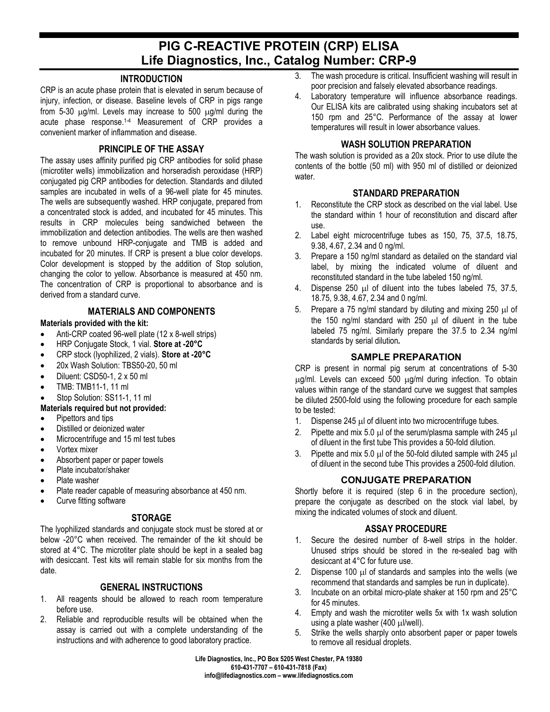# **PIG C-REACTIVE PROTEIN (CRP) ELISA Life Diagnostics, Inc., Catalog Number: CRP-9**

## **INTRODUCTION**

CRP is an acute phase protein that is elevated in serum because of injury, infection, or disease. Baseline levels of CRP in pigs range from 5-30 µg/ml. Levels may increase to 500 µg/ml during the acute phase response.1-4 Measurement of CRP provides a convenient marker of inflammation and disease.

## **PRINCIPLE OF THE ASSAY**

The assay uses affinity purified pig CRP antibodies for solid phase (microtiter wells) immobilization and horseradish peroxidase (HRP) conjugated pig CRP antibodies for detection. Standards and diluted samples are incubated in wells of a 96-well plate for 45 minutes. The wells are subsequently washed. HRP conjugate, prepared from a concentrated stock is added, and incubated for 45 minutes. This results in CRP molecules being sandwiched between the immobilization and detection antibodies. The wells are then washed to remove unbound HRP-conjugate and TMB is added and incubated for 20 minutes. If CRP is present a blue color develops. Color development is stopped by the addition of Stop solution, changing the color to yellow. Absorbance is measured at 450 nm. The concentration of CRP is proportional to absorbance and is derived from a standard curve.

### **MATERIALS AND COMPONENTS**

#### **Materials provided with the kit:**

- Anti-CRP coated 96-well plate (12 x 8-well strips)
- HRP Conjugate Stock, 1 vial. **Store at -20°C**
- CRP stock (lyophilized, 2 vials). **Store at -20°C**
- 20x Wash Solution: TBS50-20, 50 ml
- Diluent: CSD50-1, 2 x 50 ml
- TMB: TMB11-1, 11 ml
- Stop Solution: SS11-1, 11 ml

#### **Materials required but not provided:**

- Pipettors and tips
- Distilled or deionized water
- Microcentrifuge and 15 ml test tubes
- Vortex mixer
- Absorbent paper or paper towels
- Plate incubator/shaker
- Plate washer
- Plate reader capable of measuring absorbance at 450 nm.
- Curve fitting software

#### **STORAGE**

The lyophilized standards and conjugate stock must be stored at or below -20°C when received. The remainder of the kit should be stored at 4°C. The microtiter plate should be kept in a sealed bag with desiccant. Test kits will remain stable for six months from the date.

## **GENERAL INSTRUCTIONS**

- 1. All reagents should be allowed to reach room temperature before use.
- 2. Reliable and reproducible results will be obtained when the assay is carried out with a complete understanding of the instructions and with adherence to good laboratory practice.
- 3. The wash procedure is critical. Insufficient washing will result in poor precision and falsely elevated absorbance readings.
- 4. Laboratory temperature will influence absorbance readings. Our ELISA kits are calibrated using shaking incubators set at 150 rpm and 25°C. Performance of the assay at lower temperatures will result in lower absorbance values.

### **WASH SOLUTION PREPARATION**

The wash solution is provided as a 20x stock. Prior to use dilute the contents of the bottle (50 ml) with 950 ml of distilled or deionized water.

## **STANDARD PREPARATION**

- 1. Reconstitute the CRP stock as described on the vial label. Use the standard within 1 hour of reconstitution and discard after use.
- 2. Label eight microcentrifuge tubes as 150, 75, 37.5, 18.75, 9.38, 4.67, 2.34 and 0 ng/ml.
- 3. Prepare a 150 ng/ml standard as detailed on the standard vial label, by mixing the indicated volume of diluent and reconstituted standard in the tube labeled 150 ng/ml.
- 4. Dispense 250 µl of diluent into the tubes labeled 75, 37.5, 18.75, 9.38, 4.67, 2.34 and 0 ng/ml.
- 5. Prepare a 75 ng/ml standard by diluting and mixing 250  $\mu$ l of the 150 ng/ml standard with 250 µl of diluent in the tube labeled 75 ng/ml. Similarly prepare the 37.5 to 2.34 ng/ml standards by serial dilution*.*

#### **SAMPLE PREPARATION**

CRP is present in normal pig serum at concentrations of 5-30 µg/ml. Levels can exceed 500 µg/ml during infection. To obtain values within range of the standard curve we suggest that samples be diluted 2500-fold using the following procedure for each sample to be tested:

- 1. Dispense 245 µl of diluent into two microcentrifuge tubes.
- 2. Pipette and mix 5.0 µ of the serum/plasma sample with 245 µ of diluent in the first tube This provides a 50-fold dilution.
- 3. Pipette and mix 5.0  $\mu$  of the 50-fold diluted sample with 245  $\mu$ of diluent in the second tube This provides a 2500-fold dilution.

## **CONJUGATE PREPARATION**

Shortly before it is required (step 6 in the procedure section), prepare the conjugate as described on the stock vial label, by mixing the indicated volumes of stock and diluent.

#### **ASSAY PROCEDURE**

- 1. Secure the desired number of 8-well strips in the holder. Unused strips should be stored in the re-sealed bag with desiccant at 4°C for future use.
- 2. Dispense 100 µl of standards and samples into the wells (we recommend that standards and samples be run in duplicate).
- 3. Incubate on an orbital micro-plate shaker at 150 rpm and 25°C for 45 minutes.
- 4. Empty and wash the microtiter wells 5x with 1x wash solution using a plate washer (400 µl/well).
- 5. Strike the wells sharply onto absorbent paper or paper towels to remove all residual droplets.

**Life Diagnostics, Inc., PO Box 5205 West Chester, PA 19380 610-431-7707 – 610-431-7818 (Fax) info@lifediagnostics.com – www.lifediagnostics.com**